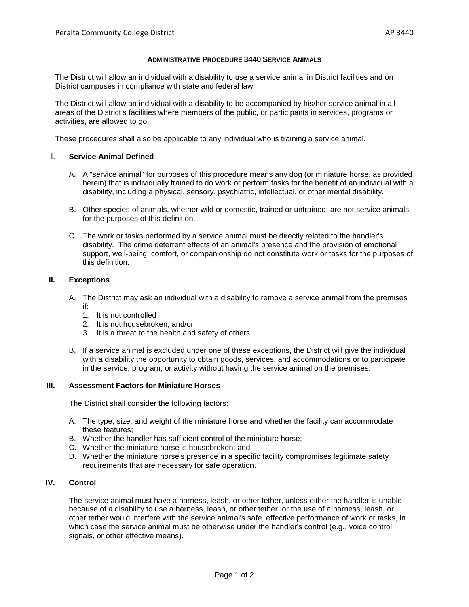## **ADMINISTRATIVE PROCEDURE 3440 SERVICE ANIMALS**

The District will allow an individual with a disability to use a service animal in District facilities and on District campuses in compliance with state and federal law.

The District will allow an individual with a disability to be accompanied by his/her service animal in all areas of the District's facilities where members of the public, or participants in services, programs or activities, are allowed to go.

These procedures shall also be applicable to any individual who is training a service animal.

# I. **Service Animal Defined**

- A. A "service animal" for purposes of this procedure means any dog (or miniature horse, as provided herein) that is individually trained to do work or perform tasks for the benefit of an individual with a disability, including a physical, sensory, psychiatric, intellectual, or other mental disability.
- B. Other species of animals, whether wild or domestic, trained or untrained, are not service animals for the purposes of this definition.
- C. The work or tasks performed by a service animal must be directly related to the handler's disability. The crime deterrent effects of an animal's presence and the provision of emotional support, well-being, comfort, or companionship do not constitute work or tasks for the purposes of this definition.

### **II. Exceptions**

- A. The District may ask an individual with a disability to remove a service animal from the premises if:
	- 1. It is not controlled
	- 2. It is not housebroken; and/or
	- 3. It is a threat to the health and safety of others
- B. If a service animal is excluded under one of these exceptions, the District will give the individual with a disability the opportunity to obtain goods, services, and accommodations or to participate in the service, program, or activity without having the service animal on the premises.

#### **III. Assessment Factors for Miniature Horses**

The District shall consider the following factors:

- A. The type, size, and weight of the miniature horse and whether the facility can accommodate these features;
- B. Whether the handler has sufficient control of the miniature horse;
- C. Whether the miniature horse is housebroken; and
- D. Whether the miniature horse's presence in a specific facility compromises legitimate safety requirements that are necessary for safe operation.

## **IV. Control**

The service animal must have a harness, leash, or other tether, unless either the handler is unable because of a disability to use a harness, leash, or other tether, or the use of a harness, leash, or other tether would interfere with the service animal's safe, effective performance of work or tasks, in which case the service animal must be otherwise under the handler's control (e.g., voice control, signals, or other effective means).